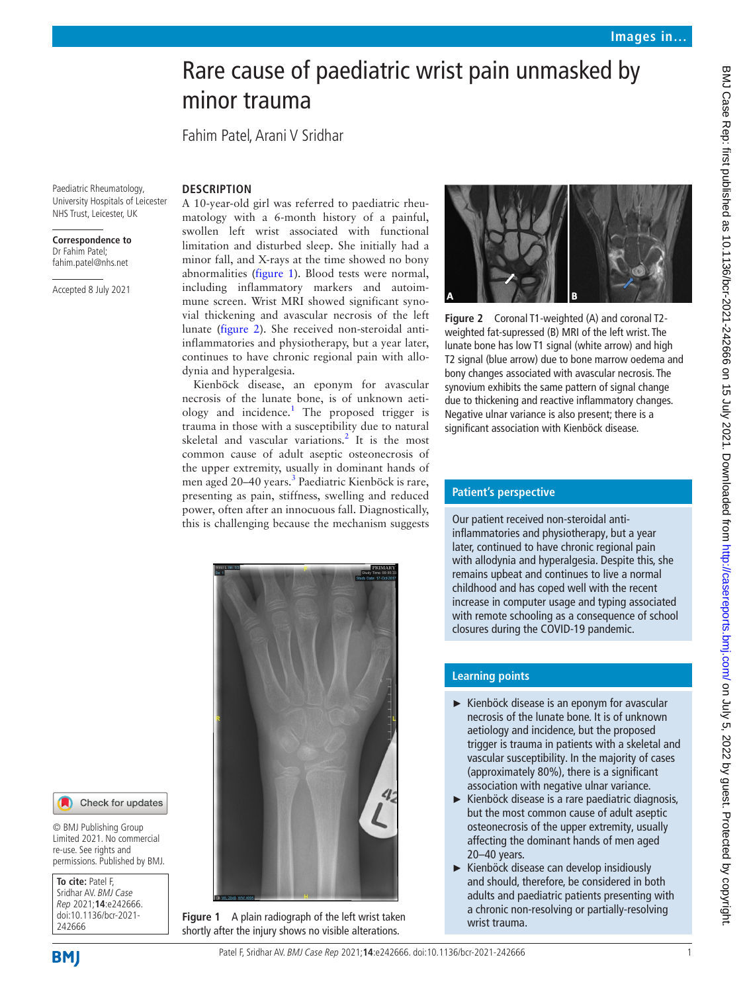# Rare cause of paediatric wrist pain unmasked by minor trauma

Fahim Patel, Arani V Sridhar

**DESCRIPTION**

Paediatric Rheumatology, University Hospitals of Leicester NHS Trust, Leicester, UK

#### **Correspondence to** Dr Fahim Patel; fahim.patel@nhs.net

Accepted 8 July 2021

A 10-year-old girl was referred to paediatric rheumatology with a 6-month history of a painful, swollen left wrist associated with functional limitation and disturbed sleep. She initially had a minor fall, and X-rays at the time showed no bony abnormalities [\(figure](#page-0-0) 1). Blood tests were normal, including inflammatory markers and autoimmune screen. Wrist MRI showed significant synovial thickening and avascular necrosis of the left lunate [\(figure](#page-0-1) 2). She received non-steroidal antiinflammatories and physiotherapy, but a year later, continues to have chronic regional pain with allodynia and hyperalgesia.

Kienböck disease, an eponym for avascular necrosis of the lunate bone, is of unknown aeti-ology and incidence.<sup>[1](#page-1-0)</sup> The proposed trigger is trauma in those with a susceptibility due to natural skeletal and vascular variations.<sup>[2](#page-1-1)</sup> It is the most common cause of adult aseptic osteonecrosis of the upper extremity, usually in dominant hands of men aged 20–40 years.<sup>[3](#page-1-2)</sup> Paediatric Kienböck is rare, presenting as pain, stiffness, swelling and reduced power, often after an innocuous fall. Diagnostically, this is challenging because the mechanism suggests



<span id="page-0-1"></span>**Figure 2** Coronal T1-weighted (A) and coronal T2 weighted fat-supressed (B) MRI of the left wrist. The lunate bone has low T1 signal (white arrow) and high T2 signal (blue arrow) due to bone marrow oedema and bony changes associated with avascular necrosis. The synovium exhibits the same pattern of signal change due to thickening and reactive inflammatory changes. Negative ulnar variance is also present; there is a significant association with Kienböck disease.



<span id="page-0-0"></span>**Figure 1** A plain radiograph of the left wrist taken shortly after the injury shows no visible alterations.

## **Patient's perspective**

Our patient received non-steroidal antiinflammatories and physiotherapy, but a year later, continued to have chronic regional pain with allodynia and hyperalgesia. Despite this, she remains upbeat and continues to live a normal childhood and has coped well with the recent increase in computer usage and typing associated with remote schooling as a consequence of school closures during the COVID-19 pandemic.

# **Learning points**

- ► Kienböck disease is an eponym for avascular necrosis of the lunate bone. It is of unknown aetiology and incidence, but the proposed trigger is trauma in patients with a skeletal and vascular susceptibility. In the majority of cases (approximately 80%), there is a significant association with negative ulnar variance.
- ► Kienböck disease is a rare paediatric diagnosis, but the most common cause of adult aseptic osteonecrosis of the upper extremity, usually affecting the dominant hands of men aged 20–40 years.
- ► Kienböck disease can develop insidiously and should, therefore, be considered in both adults and paediatric patients presenting with a chronic non-resolving or partially-resolving wrist trauma.

242666

**To cite:** Patel F, Sridhar AV. BMJ Case Rep 2021;**14**:e242666. doi:10.1136/bcr-2021-

© BMJ Publishing Group Limited 2021. No commercial re-use. See rights and permissions. Published by BMJ.

Check for updates